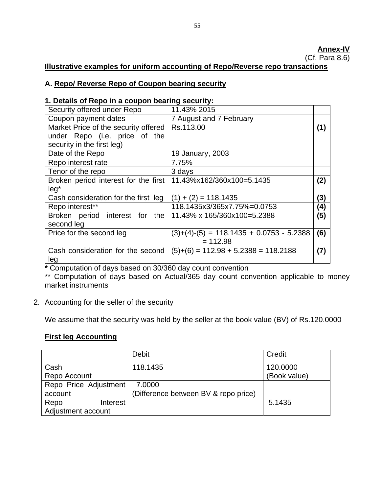(Cf. Para 8.6)

# **Illustrative examples for uniform accounting of Repo/Reverse repo transactions**

# **A. Repo/ Reverse Repo of Coupon bearing security**

# **1. Details of Repo in a coupon bearing security:**

| Security offered under Repo                                                 | 11.43% 2015                                |     |
|-----------------------------------------------------------------------------|--------------------------------------------|-----|
| Coupon payment dates                                                        | 7 August and 7 February                    |     |
| Market Price of the security offered                                        | Rs.113.00                                  | (1) |
| under Repo (i.e. price of the                                               |                                            |     |
| security in the first leg)                                                  |                                            |     |
| Date of the Repo                                                            | 19 January, 2003                           |     |
| Repo interest rate                                                          | 7.75%                                      |     |
| Tenor of the repo                                                           | 3 days                                     |     |
| Broken period interest for the first   11.43%x162/360x100=5.1435            |                                            | (2) |
| $leg*$                                                                      |                                            |     |
| Cash consideration for the first leg                                        | $(1) + (2) = 118.1435$                     | (3) |
| Repo interest**                                                             | 118.1435x3/365x7.75%=0.0753                | (4) |
| Broken period interest for the $11.43\% \times 165/360 \times 100 = 5.2388$ |                                            | (5) |
| second leg                                                                  |                                            |     |
| Price for the second leg                                                    | $(3)+(4)-(5) = 118.1435 + 0.0753 - 5.2388$ | (6) |
|                                                                             | $= 112.98$                                 |     |
| Cash consideration for the second                                           | $(5)+(6) = 112.98 + 5.2388 = 118.2188$     | (7) |
| leg                                                                         |                                            |     |

**\*** Computation of days based on 30/360 day count convention

\*\* Computation of days based on Actual/365 day count convention applicable to money market instruments

# 2. Accounting for the seller of the security

We assume that the security was held by the seller at the book value (BV) of Rs.120.0000

# **First leg Accounting**

|                       | <b>Debit</b>                         | Credit       |
|-----------------------|--------------------------------------|--------------|
| Cash                  | 118.1435                             | 120.0000     |
| Repo Account          |                                      | (Book value) |
| Repo Price Adjustment | 7.0000                               |              |
| account               | (Difference between BV & repo price) |              |
| Repo<br>Interest      |                                      | 5.1435       |
| Adjustment account    |                                      |              |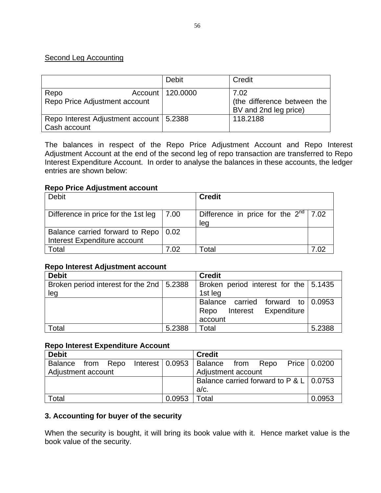# Second Leg Accounting

|                                                           | <b>Debit</b>       | Credit                                                       |
|-----------------------------------------------------------|--------------------|--------------------------------------------------------------|
| Repo<br>Repo Price Adjustment account                     | Account   120.0000 | 7.02<br>(the difference between the<br>BV and 2nd leg price) |
| Repo Interest Adjustment account   5.2388<br>Cash account |                    | 118,2188                                                     |

The balances in respect of the Repo Price Adjustment Account and Repo Interest Adjustment Account at the end of the second leg of repo transaction are transferred to Repo Interest Expenditure Account. In order to analyse the balances in these accounts, the ledger entries are shown below:

#### **Repo Price Adjustment account**

| <b>Debit</b>                           |      | <b>Credit</b>                             |  |
|----------------------------------------|------|-------------------------------------------|--|
|                                        |      |                                           |  |
| Difference in price for the 1st leg    | 7.00 | Difference in price for the $2^{nd}$ 7.02 |  |
|                                        |      | leg                                       |  |
| Balance carried forward to Repo   0.02 |      |                                           |  |
| Interest Expenditure account           |      |                                           |  |
| Total                                  | 7 02 | Total                                     |  |

#### **Repo Interest Adjustment account**

| <b>Debit</b>                                |        | <b>Credit</b>                             |        |
|---------------------------------------------|--------|-------------------------------------------|--------|
| Broken period interest for the 2nd   5.2388 |        | Broken period interest for the $  5.1435$ |        |
| leg                                         |        | 1st leg                                   |        |
|                                             |        | Balance carried forward to 0.0953         |        |
|                                             |        | Interest Expenditure<br>Repo              |        |
|                                             |        | account                                   |        |
| Total                                       | 5.2388 | Total                                     | 5.2388 |

#### **Repo Interest Expenditure Account**

| <b>Debit</b>       |           |  |                                 | <b>Credit</b>                                  |      |      |  |                |
|--------------------|-----------|--|---------------------------------|------------------------------------------------|------|------|--|----------------|
| Balance            | from Repo |  | Interest $\vert$ 0.0953 $\vert$ | Balance <sup>1</sup>                           | from | Repo |  | Price   0.0200 |
| Adjustment account |           |  |                                 | Adjustment account                             |      |      |  |                |
|                    |           |  |                                 | Balance carried forward to $P < L \mid 0.0753$ |      |      |  |                |
|                    |           |  |                                 | $a/c$ .                                        |      |      |  |                |
| Total              |           |  | 0.0953                          | Total                                          |      |      |  | 0.0953         |

#### **3. Accounting for buyer of the security**

When the security is bought, it will bring its book value with it. Hence market value is the book value of the security.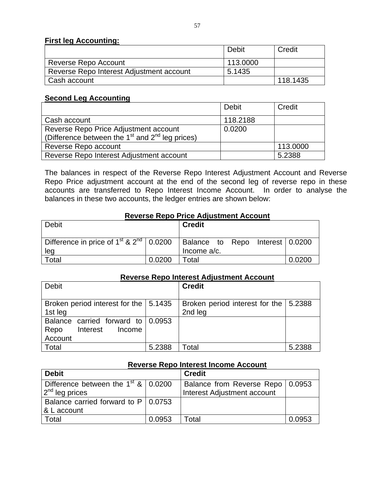#### **First leg Accounting:**

|                                          | Debit    | Credit   |
|------------------------------------------|----------|----------|
| Reverse Repo Account                     | 113,0000 |          |
| Reverse Repo Interest Adjustment account | 5.1435   |          |
| Cash account                             |          | 118.1435 |

# **Second Leg Accounting**

|                                                                                                                  | Debit    | Credit   |
|------------------------------------------------------------------------------------------------------------------|----------|----------|
| Cash account                                                                                                     | 118.2188 |          |
| Reverse Repo Price Adjustment account<br>(Difference between the 1 <sup>st</sup> and 2 <sup>nd</sup> leg prices) | 0.0200   |          |
| Reverse Repo account                                                                                             |          | 113.0000 |
| Reverse Repo Interest Adjustment account                                                                         |          | 5.2388   |

The balances in respect of the Reverse Repo Interest Adjustment Account and Reverse Repo Price adjustment account at the end of the second leg of reverse repo in these accounts are transferred to Repo Interest Income Account. In order to analyse the balances in these two accounts, the ledger entries are shown below:

#### **Reverse Repo Price Adjustment Account**

| Debit                                                                                                 |        | <b>Credit</b>  |  |        |
|-------------------------------------------------------------------------------------------------------|--------|----------------|--|--------|
| Difference in price of 1 <sup>st</sup> & 2 <sup>nd</sup>   0.0200   Balance to Repo Interest   0.0200 |        |                |  |        |
| leg                                                                                                   |        | Income $a/c$ . |  |        |
| Total                                                                                                 | 0.0200 | Total          |  | 0.0200 |

## **Reverse Repo Interest Adjustment Account**

| <b>Debit</b>                                                               |        | <b>Credit</b>                                      |        |
|----------------------------------------------------------------------------|--------|----------------------------------------------------|--------|
| Broken period interest for the   5.1435<br>1st leg                         |        | Broken period interest for the   5.2388<br>2nd leg |        |
| Balance carried forward to 0.0953<br>Interest<br>Repo<br>Income<br>Account |        |                                                    |        |
| <b>Total</b>                                                               | 5.2388 | Total                                              | 5.2388 |

| Reverse Repo Interest Income Account                                 |        |                                                                   |        |  |  |
|----------------------------------------------------------------------|--------|-------------------------------------------------------------------|--------|--|--|
| <b>Debit</b>                                                         |        | <b>Credit</b>                                                     |        |  |  |
| Difference between the $1st$ & $\vert$ 0.0200<br>$2^{nd}$ leg prices |        | Balance from Reverse Repo   0.0953<br>Interest Adjustment account |        |  |  |
| Balance carried forward to $P$   0.0753<br>& L account               |        |                                                                   |        |  |  |
| Total                                                                | 0.0953 | Total                                                             | 0.0953 |  |  |

#### **Reverse Repo Interest Income Account**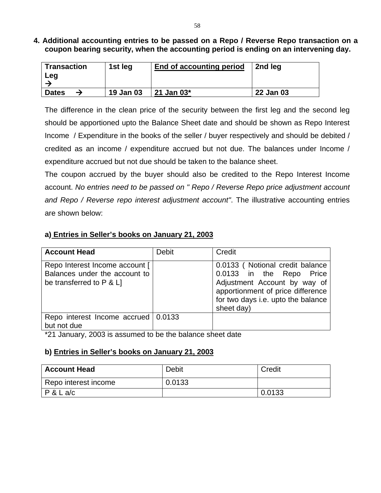**4. Additional accounting entries to be passed on a Repo / Reverse Repo transaction on a coupon bearing security, when the accounting period is ending on an intervening day.** 

| <b>Transaction</b><br>Leg | 1st leg   | End of accounting period | 2nd leg   |
|---------------------------|-----------|--------------------------|-----------|
| <b>Dates</b>              | 19 Jan 03 | 21 Jan 03*               | 22 Jan 03 |

The difference in the clean price of the security between the first leg and the second leg should be apportioned upto the Balance Sheet date and should be shown as Repo Interest Income / Expenditure in the books of the seller / buyer respectively and should be debited / credited as an income / expenditure accrued but not due. The balances under Income / expenditure accrued but not due should be taken to the balance sheet.

The coupon accrued by the buyer should also be credited to the Repo Interest Income account. *No entries need to be passed on " Repo / Reverse Repo price adjustment account and Repo / Reverse repo interest adjustment account"*. The illustrative accounting entries are shown below:

# **a) Entries in Seller's books on January 21, 2003**

| <b>Account Head</b>                                                                         | <b>Debit</b> | Credit                                                                                                                                                                               |
|---------------------------------------------------------------------------------------------|--------------|--------------------------------------------------------------------------------------------------------------------------------------------------------------------------------------|
| Repo Interest Income account [<br>Balances under the account to<br>be transferred to P & L] |              | 0.0133 (Notional credit balance<br>0.0133 in the Repo Price<br>Adjustment Account by way of<br>apportionment of price difference<br>for two days i.e. upto the balance<br>sheet day) |
| Repo interest Income accrued 0.0133<br>but not due                                          |              |                                                                                                                                                                                      |

\*21 January, 2003 is assumed to be the balance sheet date

# **b) Entries in Seller's books on January 21, 2003**

| <b>Account Head</b>  | <b>Debit</b> | Credit |
|----------------------|--------------|--------|
| Repo interest income | 0.0133       |        |
| P & L a/c            |              | 0.0133 |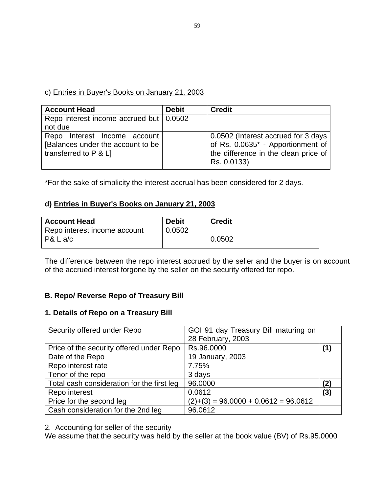# c) Entries in Buyer's Books on January 21, 2003

| <b>Account Head</b>                       | <b>Debit</b> | <b>Credit</b>                        |
|-------------------------------------------|--------------|--------------------------------------|
| Repo interest income accrued but   0.0502 |              |                                      |
| not due                                   |              |                                      |
| Repo Interest Income account              |              | 0.0502 (Interest accrued for 3 days  |
| [Balances under the account to be         |              | of Rs. 0.0635* - Apportionment of    |
| transferred to $P$ & $L$ ]                |              | the difference in the clean price of |
|                                           |              | Rs. 0.0133)                          |

\*For the sake of simplicity the interest accrual has been considered for 2 days.

# **d) Entries in Buyer's Books on January 21, 2003**

| <b>Account Head</b>          | <b>Debit</b> | <b>Credit</b> |
|------------------------------|--------------|---------------|
| Repo interest income account | 0.0502       |               |
| P& L a/c                     |              | 0.0502        |

The difference between the repo interest accrued by the seller and the buyer is on account of the accrued interest forgone by the seller on the security offered for repo.

# **B. Repo/ Reverse Repo of Treasury Bill**

#### **1. Details of Repo on a Treasury Bill**

| Security offered under Repo                | GOI 91 day Treasury Bill maturing on   |     |
|--------------------------------------------|----------------------------------------|-----|
|                                            | 28 February, 2003                      |     |
| Price of the security offered under Repo   | Rs.96.0000                             |     |
| Date of the Repo                           | 19 January, 2003                       |     |
| Repo interest rate                         | 7.75%                                  |     |
| Tenor of the repo                          | 3 days                                 |     |
| Total cash consideration for the first leg | 96.0000                                | (2  |
| Repo interest                              | 0.0612                                 | (3) |
| Price for the second leg                   | $(2)+(3) = 96.0000 + 0.0612 = 96.0612$ |     |
| Cash consideration for the 2nd leg         | 96.0612                                |     |

2. Accounting for seller of the security

We assume that the security was held by the seller at the book value (BV) of Rs.95.0000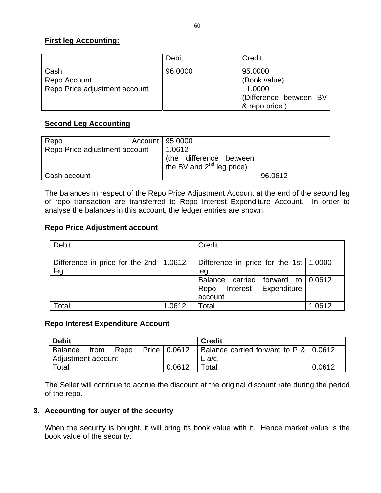# **First leg Accounting:**

|                               | Debit   | Credit                                           |
|-------------------------------|---------|--------------------------------------------------|
| Cash<br>Repo Account          | 96,0000 | 95.0000<br>(Book value)                          |
| Repo Price adjustment account |         | 1.0000<br>(Difference between BV<br>& repo price |

#### **Second Leg Accounting**

| Repo                          | Account   95.0000                                                   |         |
|-------------------------------|---------------------------------------------------------------------|---------|
| Repo Price adjustment account | 1.0612<br>(the difference between<br>the BV and $2^{nd}$ leg price) |         |
| Cash account                  |                                                                     | 96.0612 |

The balances in respect of the Repo Price Adjustment Account at the end of the second leg of repo transaction are transferred to Repo Interest Expenditure Account. In order to analyse the balances in this account, the ledger entries are shown:

# **Repo Price Adjustment account**

| <b>Debit</b>                                    |        | Credit                                                                       |        |
|-------------------------------------------------|--------|------------------------------------------------------------------------------|--------|
| Difference in price for the 2nd   1.0612<br>leg |        | Difference in price for the 1st   1.0000<br>leg                              |        |
|                                                 |        | Balance carried forward to 0.0612<br>Interest Expenditure<br>Repo<br>account |        |
| Total                                           | 1.0612 | Total                                                                        | 1.0612 |

#### **Repo Interest Expenditure Account**

| <b>Debit</b>       |          |      |                | <b>Credit</b>                         |        |
|--------------------|----------|------|----------------|---------------------------------------|--------|
| Balance            | . from 1 | Repo | Price   0.0612 | Balance carried forward to P & 0.0612 |        |
| Adjustment account |          |      |                | $L$ a/c.                              |        |
| Total              |          |      | 0.0612         | Total                                 | 0.0612 |

The Seller will continue to accrue the discount at the original discount rate during the period of the repo.

# **3. Accounting for buyer of the security**

When the security is bought, it will bring its book value with it. Hence market value is the book value of the security.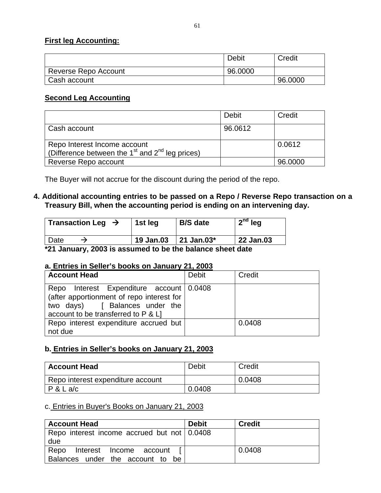## **First leg Accounting:**

|                      | Debit   | Credit  |
|----------------------|---------|---------|
| Reverse Repo Account | 96.0000 |         |
| Cash account         |         | 96.0000 |

# **Second Leg Accounting**

|                                                                                     | Debit   | Credit  |
|-------------------------------------------------------------------------------------|---------|---------|
| Cash account                                                                        | 96.0612 |         |
| Repo Interest Income account<br>(Difference between the $1st$ and $2nd$ leg prices) |         | 0.0612  |
| Reverse Repo account                                                                |         | 96,0000 |

The Buyer will not accrue for the discount during the period of the repo.

# **4. Additional accounting entries to be passed on a Repo / Reverse Repo transaction on a Treasury Bill, when the accounting period is ending on an intervening day.**

| Transaction Leg $\rightarrow$                         | 1st leg   | <b>B/S</b> date | $2nd$ leg |
|-------------------------------------------------------|-----------|-----------------|-----------|
| Date                                                  | 19 Jan.03 | 21 Jan.03 $^*$  | 22 Jan.03 |
| to happy 2003 is assumed to be the halance sheet date |           |                 |           |

**\*21 January, 2003 is assumed to be the balance sheet date** 

#### **a. Entries in Seller's books on January 21, 2003**

| <b>Account Head</b>                                                                                                                                               | <b>Debit</b> | Credit |
|-------------------------------------------------------------------------------------------------------------------------------------------------------------------|--------------|--------|
| Interest Expenditure account 0.0408<br>Repo<br>(after apportionment of repo interest for<br>two days) [ Balances under the<br>account to be transferred to P & L] |              |        |
| Repo interest expenditure accrued but<br>not due                                                                                                                  |              | 0.0408 |

# **b. Entries in Seller's books on January 21, 2003**

| <b>Account Head</b>               | Debit  | Credit |
|-----------------------------------|--------|--------|
| Repo interest expenditure account |        | 0.0408 |
| P & L a/c                         | 0.0408 |        |

#### c. Entries in Buyer's Books on January 21, 2003

| <b>Account Head</b>                                                 | <b>Debit</b> | <b>Credit</b> |
|---------------------------------------------------------------------|--------------|---------------|
| Repo interest income accrued but not $\vert 0.0408 \rangle$<br>due  |              |               |
| Repo Interest Income account [ <br>Balances under the account to be |              | 0.0408        |